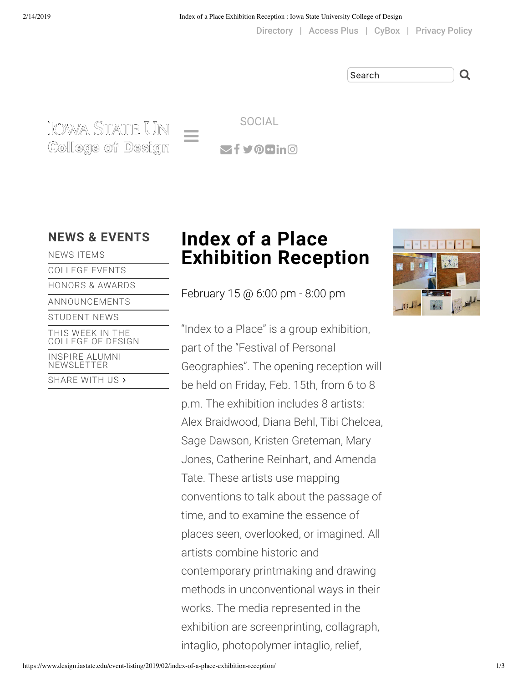[Directory](https://www.design.iastate.edu/college/contact/college-directory/) | [Access Plus](https://accessplus.iastate.edu/frontdoor/login.jsp) | [CyBox](https://iastate.box.com/) | [Privacy Policy](https://www.design.iastate.edu/privacy-policy/)

Search Q

.IOWA STATE UN College of Design  $\mathbf{z}$ f Voluno SOCIAL

NEWS [ITEMS](https://www.design.iastate.edu/news/college-news/)

[COLLEGE](https://www.design.iastate.edu/event/) EVENTS [HONORS](https://www.design.iastate.edu/awards/) & AWARDS [ANNOUNCEMENTS](https://www.design.iastate.edu/announcements/) [STUDENT](https://www.design.iastate.edu/news/student-news/) NEWS THIS WEEK IN THE [COLLEGE](https://www.design.iastate.edu/news/this-week-in-the-college-of-design/) OF DESIGN INSPIRE ALUMNI [NEWSLETTER](https://www.design.iastate.edu/news/inspire-alumni-newsletter/) [SHARE](https://www.design.iastate.edu/news/share/) WITH US >

# **NEWS & [EVENTS](https://www.design.iastate.edu/news/) Index of a Place Exhibition Reception**

February 15 @ 6:00 pm - 8:00 pm

"Index to a Place" is a group exhibition, part of the "Festival of Personal Geographies". The opening reception will be held on Friday, Feb. 15th, from 6 to 8 p.m. The exhibition includes 8 artists: Alex Braidwood, Diana Behl, Tibi Chelcea, Sage Dawson, Kristen Greteman, Mary Jones, Catherine Reinhart, and Amenda Tate. These artists use mapping conventions to talk about the passage of time, and to examine the essence of places seen, overlooked, or imagined. All artists combine historic and contemporary printmaking and drawing methods in unconventional ways in their works. The media represented in the exhibition are screenprinting, collagraph, intaglio, photopolymer intaglio, relief,

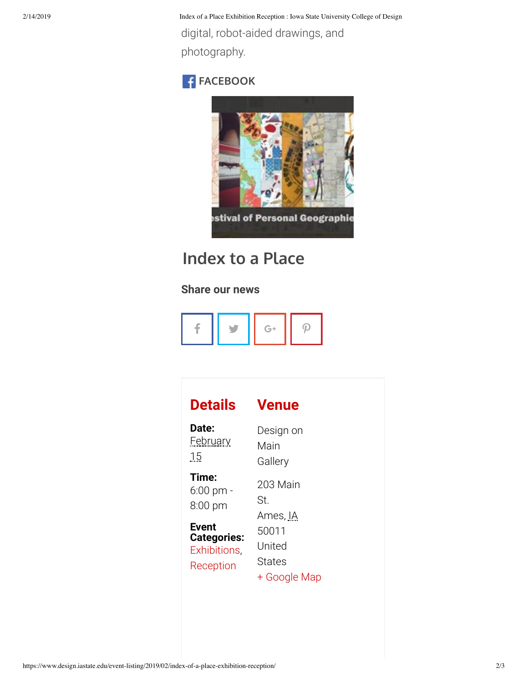2/14/2019 Index of a Place Exhibition Reception : Iowa State University College of Design

digital, robot-aided drawings, and photography.

## **F**<br>[FACEBOOK](https://www.facebook.com/)



## **[Index to a Place](https://www.facebook.com/events/361661698010455/)**

### **Share our news**



| Details            | <b>Venue</b> |
|--------------------|--------------|
| Date:              | Design on    |
| <b>February</b>    | Main         |
| 15                 | Gallery      |
| Time:              | 203 Main     |
| $6:00$ pm -        | St.          |
| $8:00$ pm          | Ames, IA     |
| Event              | 50011        |
| <b>Categories:</b> | United       |
| Exhibitions,       | States       |
| Reception          | + Google Map |